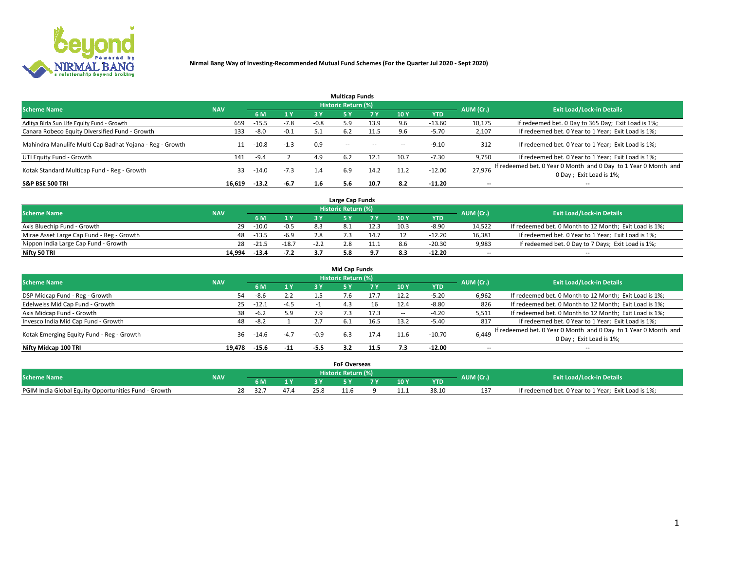

|                                                          |            |         |        |        | <b>Multicap Funds</b> |           |      |            |                          |                                                                                             |
|----------------------------------------------------------|------------|---------|--------|--------|-----------------------|-----------|------|------------|--------------------------|---------------------------------------------------------------------------------------------|
| <b>Scheme Name</b>                                       | <b>NAV</b> |         |        |        | Historic Return (%)   |           |      |            | AUM (Cr.)                | <b>Exit Load/Lock-in Details</b>                                                            |
|                                                          |            | 6 M     | 1 Y    | 3 Y    |                       | <b>7Y</b> | 10Y  | <b>YTD</b> |                          |                                                                                             |
| Aditya Birla Sun Life Equity Fund - Growth               | 659        | $-15.5$ | $-7.8$ | $-0.8$ | 5.9                   | 13.9      | 9.6  | $-13.60$   | 10,175                   | If redeemed bet. 0 Day to 365 Day; Exit Load is 1%;                                         |
| Canara Robeco Equity Diversified Fund - Growth           | 133        | $-8.0$  | $-0.1$ |        | 6.2                   | 11.5      | 9.6  | $-5.70$    | 2,107                    | If redeemed bet. 0 Year to 1 Year; Exit Load is 1%;                                         |
| Mahindra Manulife Multi Cap Badhat Yojana - Reg - Growth |            | $-10.8$ | $-1.3$ | 0.9    | $\sim$ $-$            | $\sim$    | --   | $-9.10$    | 312                      | If redeemed bet. 0 Year to 1 Year; Exit Load is 1%;                                         |
| UTI Equity Fund - Growth                                 | 141        | $-9.4$  |        | 4.9    | 6.2                   | 12.1      | 10.7 | $-7.30$    | 9,750                    | If redeemed bet. 0 Year to 1 Year; Exit Load is 1%;                                         |
| Kotak Standard Multicap Fund - Reg - Growth              | 33         | $-14.0$ | $-7.3$ | 1.4    | 6.9                   | 14.2      | 11.2 | $-12.00$   | 27.976                   | If redeemed bet. 0 Year 0 Month and 0 Day to 1 Year 0 Month and<br>0 Day ; Exit Load is 1%; |
| <b>S&amp;P BSE 500 TRI</b>                               | 16.619     | $-13.2$ | -6.7   | 1.6    | 5.6                   | 10.7      | 8.2  | $-11.20$   | $\overline{\phantom{a}}$ | $- -$                                                                                       |

|                                           |            |         |         |        | Large Cap Funds     |      |      |            |                          |                                                        |
|-------------------------------------------|------------|---------|---------|--------|---------------------|------|------|------------|--------------------------|--------------------------------------------------------|
| <b>Scheme Name</b>                        | <b>NAV</b> |         |         |        | Historic Return (%) |      |      |            | AUM (Cr.)                | <b>Exit Load/Lock-in Details</b>                       |
|                                           |            |         | 1 Y     |        |                     |      | 10 Y | <b>YTD</b> |                          |                                                        |
| Axis Bluechip Fund - Growth               | 29         | $-10.0$ | $-0.5$  | 8.3    |                     | 12.3 | 10.3 | $-8.90$    | 14,522                   | If redeemed bet. 0 Month to 12 Month; Exit Load is 1%; |
| Mirae Asset Large Cap Fund - Reg - Growth | 48.        | $-13.5$ | $-6.9$  |        |                     | 14.7 |      | $-12.20$   | 16,381                   | If redeemed bet. 0 Year to 1 Year; Exit Load is 1%;    |
| Nippon India Large Cap Fund - Growth      | 28         | $-21.5$ | $-18.7$ | $-2.2$ | 0 ו                 |      |      | $-20.30$   | 9,983                    | If redeemed bet. 0 Day to 7 Days; Exit Load is 1%;     |
| Nifty 50 TRI                              | 14.994     | $-13.4$ | $-7.2$  |        |                     |      |      | $-12.20$   | $\overline{\phantom{a}}$ | $- -$                                                  |

|                                           |            |         |                |        | <b>Mid Cap Funds</b> |      |        |            |           |                                                                 |
|-------------------------------------------|------------|---------|----------------|--------|----------------------|------|--------|------------|-----------|-----------------------------------------------------------------|
| <b>Scheme Name</b>                        | <b>NAV</b> |         |                |        | Historic Return (%)  |      |        |            | AUM (Cr.) | <b>Exit Load/Lock-in Details</b>                                |
|                                           |            | 6 M     | 1 <sup>Y</sup> | 3 Y    | 5۱                   |      | 10Y    | <b>YTD</b> |           |                                                                 |
| DSP Midcap Fund - Reg - Growth            | 54         | $-8.6$  | 2.2            | 1.5    | 7.6                  |      | 12.2   | $-5.20$    | 6,962     | If redeemed bet. 0 Month to 12 Month; Exit Load is 1%;          |
| Edelweiss Mid Cap Fund - Growth           | 25         | $-12.1$ | $-4.5$         |        | 4.3                  | 16   | 12.4   | $-8.80$    | 826       | If redeemed bet. 0 Month to 12 Month; Exit Load is 1%;          |
| Axis Midcap Fund - Growth                 | 38         | $-6.2$  | 5.9            | 7.9    |                      | 17.3 | $\sim$ | $-4.20$    | 5,511     | If redeemed bet. 0 Month to 12 Month; Exit Load is 1%;          |
| Invesco India Mid Cap Fund - Growth       | 48         | $-8.2$  |                | 2.7    | 6.1                  |      | 13.2   | $-5.40$    | 817       | If redeemed bet. 0 Year to 1 Year; Exit Load is 1%;             |
| Kotak Emerging Equity Fund - Reg - Growth | 36         | -14.6   | $-4.7$         | $-0.9$ | 6.3                  | 17.4 | 11.6   | $-10.70$   | 6,449     | If redeemed bet. 0 Year 0 Month and 0 Day to 1 Year 0 Month and |
|                                           |            |         |                |        |                      |      |        |            |           | 0 Day; Exit Load is 1%;                                         |
| Nifty Midcap 100 TRI                      | 19.478     | $-15.6$ | $-11$          | -5.5   | 3.2                  | 11.5 | 7.3    | $-12.00$   | $- -$     | $- -$                                                           |

|                                                      |            |            |              | <b>FoF Overseas</b>   |       |      |            |                                  |                                                     |
|------------------------------------------------------|------------|------------|--------------|-----------------------|-------|------|------------|----------------------------------|-----------------------------------------------------|
| <b>Scheme Name</b>                                   | <b>NAV</b> |            |              | Historic Return (%) ' |       |      | AUM (Cr.)  | <b>Exit Load/Lock-in Details</b> |                                                     |
|                                                      |            |            | $\mathbf{v}$ |                       | - - - | 10 Y | <b>YTD</b> |                                  |                                                     |
| PGIM India Global Equity Opportunities Fund - Growth |            | 32.7<br>28 |              |                       |       | 11.1 | 38.10      | 13<br>ᅩ                          | If redeemed bet. 0 Year to 1 Year; Exit Load is 1%; |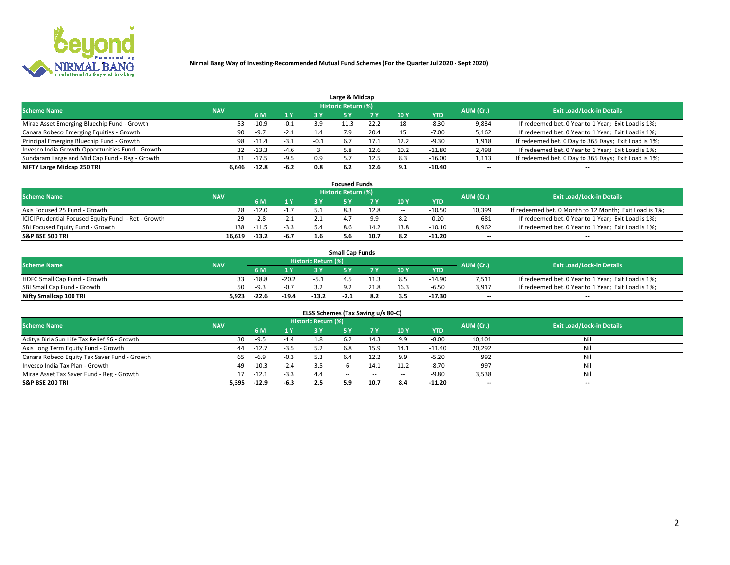

| Large & Midcap                                   |            |         |        |                |                     |      |      |            |                          |                                                      |  |  |  |  |
|--------------------------------------------------|------------|---------|--------|----------------|---------------------|------|------|------------|--------------------------|------------------------------------------------------|--|--|--|--|
| <b>Scheme Name</b>                               | <b>NAV</b> |         |        |                | Historic Return (%) |      |      |            | AUM (Cr.)                | <b>Exit Load/Lock-in Details</b>                     |  |  |  |  |
|                                                  |            | 6 M     | 1 Y    | 3 Y            |                     | 7 V  | 10Y  | <b>YTD</b> |                          |                                                      |  |  |  |  |
| Mirae Asset Emerging Bluechip Fund - Growth      | 53         | $-10.9$ | $-0.1$ | 3.9            |                     | 22.2 | 18   | $-8.30$    | 9,834                    | If redeemed bet. 0 Year to 1 Year; Exit Load is 1%;  |  |  |  |  |
| Canara Robeco Emerging Equities - Growth         | 90         | $-9.7$  | $-2.1$ | $\mathbf{A}$ . |                     | 20.4 |      | $-7.00$    | 5,162                    | If redeemed bet. 0 Year to 1 Year; Exit Load is 1%;  |  |  |  |  |
| Principal Emerging Bluechip Fund - Growth        | 98         | $-11.4$ | $-3.1$ | -0.1           | 6.7                 | 17.1 | 12.2 | $-9.30$    | 1,918                    | If redeemed bet. 0 Day to 365 Days; Exit Load is 1%; |  |  |  |  |
| Invesco India Growth Opportunities Fund - Growth | 32         | $-13.3$ | $-4.6$ |                | 5.8                 |      | 10.2 | $-11.80$   | 2,498                    | If redeemed bet. 0 Year to 1 Year; Exit Load is 1%;  |  |  |  |  |
| Sundaram Large and Mid Cap Fund - Reg - Growth   | 31         | -17.5   | $-9.5$ | 0.9            |                     | 12.5 | 8.3  | $-16.00$   | 1,113                    | If redeemed bet. 0 Day to 365 Days; Exit Load is 1%; |  |  |  |  |
| NIFTY Large Midcap 250 TRI                       | 6.646      | $-12.8$ | $-6.2$ | 0.8            |                     |      | 9.1  | -10.40     | $\overline{\phantom{a}}$ | $- -$                                                |  |  |  |  |

|                                                     |            |         |        | <b>Focused Funds</b>       |      |        |            |                          |                                                        |
|-----------------------------------------------------|------------|---------|--------|----------------------------|------|--------|------------|--------------------------|--------------------------------------------------------|
| <b>Scheme Name</b>                                  | <b>NAV</b> |         |        | <b>Historic Return (%)</b> |      |        |            | AUM (Cr.)                | <b>Exit Load/Lock-in Details</b>                       |
|                                                     |            | 6 M     | 1 Y    |                            |      | 10 Y   | <b>YTD</b> |                          |                                                        |
| Axis Focused 25 Fund - Growth                       | 28         | $-12.0$ | $-1.7$ |                            | 12.8 | $\sim$ | $-10.50$   | 10,399                   | If redeemed bet. 0 Month to 12 Month; Exit Load is 1%; |
| ICICI Prudential Focused Equity Fund - Ret - Growth | 29         | $-2.8$  | $-2.1$ |                            | g g  |        | 0.20       | 681                      | If redeemed bet. 0 Year to 1 Year; Exit Load is 1%;    |
| SBI Focused Equity Fund - Growth                    | 138        | $-11.5$ | $-3.3$ |                            | 14.2 | 13.8   | $-10.10$   | 8,962                    | If redeemed bet. 0 Year to 1 Year; Exit Load is 1%;    |
| <b>S&amp;P BSE 500 TRI</b>                          | 16.619     | $-13.2$ | $-6.7$ | .b                         | 10.7 |        | $-11.20$   | $\overline{\phantom{a}}$ | $- -$                                                  |

| <b>Small Cap Funds</b>       |            |         |         |                     |        |     |                 |            |           |                                                     |  |  |  |
|------------------------------|------------|---------|---------|---------------------|--------|-----|-----------------|------------|-----------|-----------------------------------------------------|--|--|--|
| <b>Scheme Name</b>           | <b>NAV</b> |         |         | Historic Return (%) |        |     |                 |            | AUM (Cr.) | <b>Exit Load/Lock-in Details</b>                    |  |  |  |
|                              |            | 6 M     | 1 Y     |                     |        |     | 10 <sub>Y</sub> | <b>YTD</b> |           |                                                     |  |  |  |
| HDFC Small Cap Fund - Growth |            | $-18.8$ | $-20.2$ |                     |        |     |                 | $-14.90$   | 7,511     | If redeemed bet. 0 Year to 1 Year; Exit Load is 1%; |  |  |  |
| SBI Small Cap Fund - Growth  | 50         | $-Q$ 2  |         |                     |        |     | 16.3            | $-6.50$    | 3,917     | If redeemed bet. 0 Year to 1 Year; Exit Load is 1%; |  |  |  |
| Nifty Smallcap 100 TRI       | 5.923      | $-22.6$ | $-19.4$ | $-13.2$             | $-2.1$ | 8.2 | 3.5             | $-17.30$   | $-$       | $- -$                                               |  |  |  |

| ELSS Schemes (Tax Saving u/s 80-C)           |            |         |        |                            |            |        |                          |            |                          |                                  |  |  |  |
|----------------------------------------------|------------|---------|--------|----------------------------|------------|--------|--------------------------|------------|--------------------------|----------------------------------|--|--|--|
| <b>Scheme Name</b>                           | <b>NAV</b> |         |        | <b>Historic Return (%)</b> |            |        |                          |            | AUM (Cr.)                | <b>Exit Load/Lock-in Details</b> |  |  |  |
|                                              |            | - 6 M   | 1Y     | 73 Y                       | <b>5Y</b>  | 7 Y    | 10 Y                     | <b>YTD</b> |                          |                                  |  |  |  |
| Aditya Birla Sun Life Tax Relief 96 - Growth | 30         | -9.5    | $-1.4$ |                            |            | 14.3   | oο                       | $-8.00$    | 10,101                   | Nil                              |  |  |  |
| Axis Long Term Equity Fund - Growth          | 44         | $-12.7$ | $-3.5$ | 57                         | 6.8        | 15.9   | 14.1                     | $-11.40$   | 20,292                   | Nil                              |  |  |  |
| Canara Robeco Equity Tax Saver Fund - Growth | 65         | $-6.9$  | $-0.3$ | 5.3                        | 6.4        | 12.2   | 9.9                      | $-5.20$    | 992                      | Nil                              |  |  |  |
| Invesco India Tax Plan - Growth              | 49         | $-10.3$ | $-2.4$ |                            |            | 14.1   | 11.2                     | $-8.70$    | 997                      | Nil                              |  |  |  |
| Mirae Asset Tax Saver Fund - Reg - Growth    |            | $-12.1$ | $-3.3$ | 4.4                        | $\sim$ $-$ | $\sim$ | $\overline{\phantom{a}}$ | $-9.80$    | 3,538                    | Nil                              |  |  |  |
| S&P BSE 200 TRI                              | 5,395      | $-12.9$ | $-6.3$ | 2.5                        | 5.9        | 10.7   | 8.4                      | $-11.20$   | $\overline{\phantom{a}}$ | $- -$                            |  |  |  |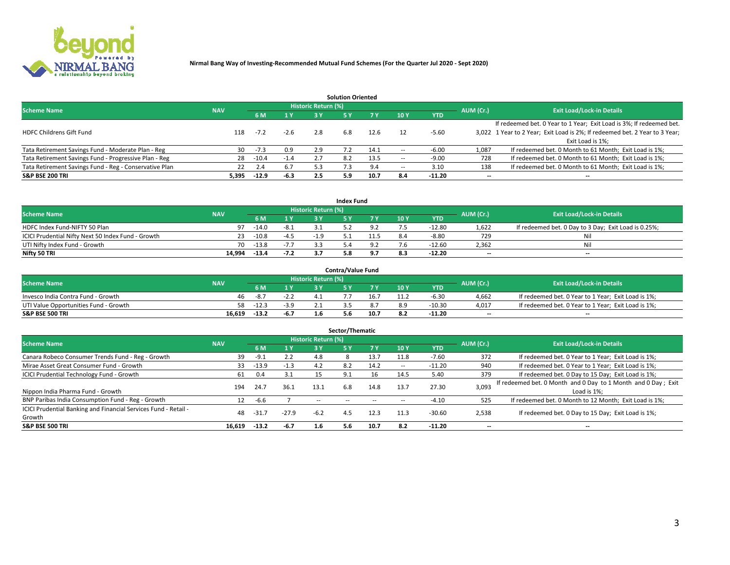

|                                                        |            |            |        |                            | <b>Solution Oriented</b> |      |                          |            |                          |                                                                             |
|--------------------------------------------------------|------------|------------|--------|----------------------------|--------------------------|------|--------------------------|------------|--------------------------|-----------------------------------------------------------------------------|
| <b>Scheme Name</b>                                     | <b>NAV</b> |            |        | <b>Historic Return (%)</b> |                          |      |                          |            | AUM (Cr.)                | <b>Exit Load/Lock-in Details</b>                                            |
|                                                        |            | <b>6 M</b> | 1 Y    | 3 Y                        |                          |      | 10Y                      | <b>YTD</b> |                          |                                                                             |
|                                                        |            |            |        |                            |                          |      |                          |            |                          | If redeemed bet. 0 Year to 1 Year; Exit Load is 3%; If redeemed bet.        |
| <b>HDFC Childrens Gift Fund</b>                        | 118        | $-7.2$     | $-2.6$ | 2.8                        | 6.8                      | 12.6 |                          | $-5.60$    |                          | 3,022 1 Year to 2 Year; Exit Load is 2%; If redeemed bet. 2 Year to 3 Year; |
|                                                        |            |            |        |                            |                          |      |                          |            |                          | Exit Load is 1%:                                                            |
| Tata Retirement Savings Fund - Moderate Plan - Reg     | 30         | $-7.3$     | 0.9    | 2.9                        |                          | 14.1 |                          | $-6.00$    | 1,087                    | If redeemed bet. 0 Month to 61 Month; Exit Load is 1%;                      |
| Tata Retirement Savings Fund - Progressive Plan - Reg  | 28         | $-10.4$    | $-1.4$ | 2.7                        | 8.2                      | 13.5 | $\overline{\phantom{a}}$ | $-9.00$    | 728                      | If redeemed bet. 0 Month to 61 Month; Exit Load is 1%;                      |
| Tata Retirement Savings Fund - Reg - Conservative Plan | 22         | 2.4        | 6.7    | 5.3                        |                          | 9.4  | --                       | 3.10       | 138                      | If redeemed bet. 0 Month to 61 Month; Exit Load is 1%;                      |
| S&P BSE 200 TRI                                        | 5,395      | $-12.9$    | $-6.3$ | 2.5                        | 5.9                      | 10.7 | 8.4                      | $-11.20$   | $\overline{\phantom{a}}$ | $- -$                                                                       |

|                                                    |            |           |                                  |       | <b>Index Fund</b> |      |      |            |                          |                                                      |
|----------------------------------------------------|------------|-----------|----------------------------------|-------|-------------------|------|------|------------|--------------------------|------------------------------------------------------|
| <b>Scheme Name</b>                                 |            | AUM (Cr.) | <b>Exit Load/Lock-in Details</b> |       |                   |      |      |            |                          |                                                      |
|                                                    | <b>NAV</b> |           | $\sqrt{1}$ $V$                   | 2 V   |                   | 7 V  | 10 Y | <b>YTD</b> |                          |                                                      |
| HDFC Index Fund-NIFTY 50 Plan                      | 97         | $-14.0$   | $-8.1$                           |       |                   |      |      | $-12.80$   | 1,622                    | If redeemed bet. 0 Day to 3 Day; Exit Load is 0.25%; |
| ICICI Prudential Nifty Next 50 Index Fund - Growth |            | $-10.8$   | $-4.5$                           | $-19$ |                   | 1.5ء |      | $-8.80$    | 729                      | Nil                                                  |
| UTI Nifty Index Fund - Growth                      | 70         | $-13.8$   | $-7.7$                           |       |                   |      |      | -12.60     | 2,362                    | Nil                                                  |
| Nifty 50 TRI                                       | 14.994     | $-13.4$   | $-7.2$                           |       |                   |      |      | $-12.20$   | $\overline{\phantom{a}}$ | $- -$                                                |

|                                       |            |         |        |                            | <b>Contra/Value Fund</b> |      |     |            |                          |                                                     |
|---------------------------------------|------------|---------|--------|----------------------------|--------------------------|------|-----|------------|--------------------------|-----------------------------------------------------|
| <b>Scheme Name</b>                    | <b>NAV</b> |         |        | <b>Historic Return (%)</b> |                          |      |     |            | AUM (Cr.)                | <b>Exit Load/Lock-in Details</b>                    |
|                                       |            |         | 1 V    |                            |                          | 7 V  | 10Y | <b>YTD</b> |                          |                                                     |
| Invesco India Contra Fund - Growth    | 46         | $-8.7$  | -2.2   |                            |                          | 16.7 |     | $-6.30$    | 4,662                    | If redeemed bet. 0 Year to 1 Year; Exit Load is 1%; |
| UTI Value Opportunities Fund - Growth | 58.        | $-12.3$ | $-3.9$ |                            |                          |      |     | $-10.30$   | 4,017                    | If redeemed bet. 0 Year to 1 Year; Exit Load is 1%; |
| <b>S&amp;P BSE 500 TRI</b>            | 16.619     | $-13.2$ | $-6.7$ |                            |                          | 10.7 |     | $-11.20$   | $\overline{\phantom{a}}$ | $- -$                                               |

| Sector/Thematic                                                           |            |         |         |                            |            |                          |                          |            |                          |                                                                              |  |  |  |
|---------------------------------------------------------------------------|------------|---------|---------|----------------------------|------------|--------------------------|--------------------------|------------|--------------------------|------------------------------------------------------------------------------|--|--|--|
| <b>Scheme Name</b>                                                        | <b>NAV</b> |         |         | <b>Historic Return (%)</b> |            |                          |                          |            | AUM (Cr.)                | <b>Exit Load/Lock-in Details</b>                                             |  |  |  |
|                                                                           |            | 6 M     | 1 Y     | 3 Y                        | 5 Y        |                          | 10Y                      | <b>YTD</b> |                          |                                                                              |  |  |  |
| Canara Robeco Consumer Trends Fund - Reg - Growth                         | 39         | $-9.1$  | 2.2     | 4.8                        |            | 13.7                     | 11.8                     | $-7.60$    | 372                      | If redeemed bet. 0 Year to 1 Year; Exit Load is 1%;                          |  |  |  |
| Mirae Asset Great Consumer Fund - Growth                                  | 33         | -13.9   | $-1.3$  | 4.2                        | 8.2        | 14.2                     | $\overline{\phantom{a}}$ | $-11.20$   | 940                      | If redeemed bet. 0 Year to 1 Year; Exit Load is 1%;                          |  |  |  |
| <b>ICICI Prudential Technology Fund - Growth</b>                          | 61         | 0.4     | 3.1     |                            | 9.1        | 16                       | 14.5                     | 5.40       | 379                      | If redeemed bet. 0 Day to 15 Day; Exit Load is 1%;                           |  |  |  |
| Nippon India Pharma Fund - Growth                                         | 194        | 24.7    | 36.1    | 13.1                       | 6.8        | 14.8                     | 13.7                     | 27.30      | 3,093                    | If redeemed bet. 0 Month and 0 Day to 1 Month and 0 Day; Exit<br>Load is 1%: |  |  |  |
| BNP Paribas India Consumption Fund - Reg - Growth                         | 12         | $-6.6$  |         | $\sim$ $-$                 | $\sim$ $-$ | $\overline{\phantom{m}}$ | $\overline{\phantom{a}}$ | $-4.10$    | 525                      | If redeemed bet. 0 Month to 12 Month; Exit Load is 1%;                       |  |  |  |
| ICICI Prudential Banking and Financial Services Fund - Retail -<br>Growth | 48         | -31.    | $-27.9$ | $-6.2$                     | 4.5        | 12.3                     | 11.3                     | $-30.60$   | 2,538                    | If redeemed bet. 0 Day to 15 Day; Exit Load is 1%;                           |  |  |  |
| <b>S&amp;P BSE 500 TRI</b>                                                | 16.619     | $-13.2$ | $-6.7$  | 1.6                        | 5.6        | 10.7                     | 8.2                      | $-11.20$   | $\overline{\phantom{a}}$ | $- -$                                                                        |  |  |  |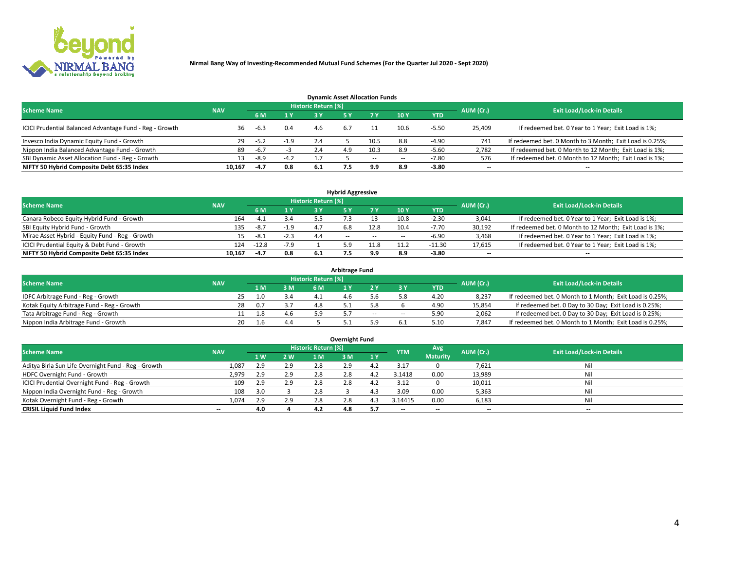

| <b>Dynamic Asset Allocation Funds</b>                   |            |        |        |     |     |           |                                  |            |                          |                                                          |  |  |  |  |
|---------------------------------------------------------|------------|--------|--------|-----|-----|-----------|----------------------------------|------------|--------------------------|----------------------------------------------------------|--|--|--|--|
| <b>Scheme Name</b>                                      | <b>NAV</b> |        |        |     |     | AUM (Cr.) | <b>Exit Load/Lock-in Details</b> |            |                          |                                                          |  |  |  |  |
|                                                         |            | 6 M    | 1 Y    |     |     |           | 10 <sub>Y</sub>                  | <b>YTD</b> |                          |                                                          |  |  |  |  |
| ICICI Prudential Balanced Advantage Fund - Reg - Growth | 36         | -6.3   | 0.4    | 4.6 | 6.7 |           | 10.6                             | $-5.50$    | 25,409                   | If redeemed bet. 0 Year to 1 Year; Exit Load is 1%;      |  |  |  |  |
| Invesco India Dynamic Equity Fund - Growth              | 29         | $-5.2$ | $-1.9$ | 2.4 |     | 10.5      | 8.8                              | $-4.90$    | 741                      | If redeemed bet. 0 Month to 3 Month; Exit Load is 0.25%; |  |  |  |  |
| Nippon India Balanced Advantage Fund - Growth           | 89         | $-6.7$ |        | 2.4 | 4.9 | 10.3      | 8.9                              | $-5.60$    | 2,782                    | If redeemed bet. 0 Month to 12 Month; Exit Load is 1%;   |  |  |  |  |
| SBI Dynamic Asset Allocation Fund - Reg - Growth        | 13.        | $-8.9$ | $-4.2$ |     |     | $\sim$    | $\overline{\phantom{a}}$         | -7.80      | 576                      | If redeemed bet. 0 Month to 12 Month; Exit Load is 1%;   |  |  |  |  |
| NIFTY 50 Hybrid Composite Debt 65:35 Index              | 10.167     | $-4.7$ | 0.8    | 6.1 |     | 9.9       | 8.9                              | $-3.80$    | $\overline{\phantom{a}}$ |                                                          |  |  |  |  |

|                                                 |            |                                  |        |     | <b>Hybrid Aggressive</b> |        |      |            |                          |                                                        |
|-------------------------------------------------|------------|----------------------------------|--------|-----|--------------------------|--------|------|------------|--------------------------|--------------------------------------------------------|
| <b>Scheme Name</b>                              | AUM (Cr.)  | <b>Exit Load/Lock-in Details</b> |        |     |                          |        |      |            |                          |                                                        |
|                                                 | <b>NAV</b> | 6 M                              | 1 Y    |     |                          |        | 10Y  | <b>YTD</b> |                          |                                                        |
| Canara Robeco Equity Hybrid Fund - Growth       | 164        | $-4.2$                           | 3.4    |     |                          |        | 10.8 | $-2.30$    | 3,041                    | If redeemed bet. 0 Year to 1 Year; Exit Load is 1%;    |
| SBI Equity Hybrid Fund - Growth                 | 135        | $-8.7$                           | $-1.9$ |     |                          | 12.8   | 10.4 | $-7.70$    | 30,192                   | If redeemed bet. 0 Month to 12 Month; Exit Load is 1%; |
| Mirae Asset Hybrid - Equity Fund - Reg - Growth |            | -8.1                             | $-2.3$ | 4.4 | $\sim$ $\sim$            | $\sim$ | --   | -6.90      | 3,468                    | If redeemed bet. 0 Year to 1 Year; Exit Load is 1%;    |
| ICICI Prudential Equity & Debt Fund - Growth    | 124        | $-12.8$                          | $-7.9$ |     |                          | $-1.8$ |      | $-11.30$   | 17,615                   | If redeemed bet. 0 Year to 1 Year; Exit Load is 1%;    |
| NIFTY 50 Hybrid Composite Debt 65:35 Index      | 10.167     | $-4.7$                           | 0.8    |     |                          | 9.9    |      | $-3.80$    | $\overline{\phantom{a}}$ | $- -$                                                  |

| <b>Arbitrage Fund</b>                      |            |           |     |                     |  |        |        |            |           |                                                          |  |  |  |  |
|--------------------------------------------|------------|-----------|-----|---------------------|--|--------|--------|------------|-----------|----------------------------------------------------------|--|--|--|--|
| <b>Scheme Name</b>                         | <b>NAV</b> |           |     | Historic Return (%) |  |        |        |            | AUM (Cr.) | <b>Exit Load/Lock-in Details</b>                         |  |  |  |  |
|                                            |            | L M.      | 3 M | 6 M                 |  |        |        | <b>YTD</b> |           |                                                          |  |  |  |  |
| IDFC Arbitrage Fund - Reg - Growth         |            | 25<br>1.0 |     |                     |  |        |        | 4.20       | 8,237     | If redeemed bet. 0 Month to 1 Month; Exit Load is 0.25%; |  |  |  |  |
| Kotak Equity Arbitrage Fund - Reg - Growth | 28         | 0.7       |     | 48                  |  |        |        | 4.90       | 15,854    | If redeemed bet. 0 Day to 30 Day; Exit Load is 0.25%;    |  |  |  |  |
| Tata Arbitrage Fund - Reg - Growth         |            | 1.8       |     | 59                  |  | $\sim$ | $\sim$ | 5.90       | 2,062     | If redeemed bet. 0 Day to 30 Day; Exit Load is 0.25%;    |  |  |  |  |
| Nippon India Arbitrage Fund - Growth       |            | 20<br>l.6 | 4.4 |                     |  |        |        | 5.10       | 7.847     | If redeemed bet. 0 Month to 1 Month; Exit Load is 0.25%; |  |  |  |  |

|                                                     |            |     |     |                            | Overnight Fund |     |                          |                 |           |                                  |
|-----------------------------------------------------|------------|-----|-----|----------------------------|----------------|-----|--------------------------|-----------------|-----------|----------------------------------|
| <b>Scheme Name</b>                                  | <b>NAV</b> |     |     | <b>Historic Return (%)</b> |                |     | <b>YTM</b>               | Avg             | AUM (Cr.) | <b>Exit Load/Lock-in Details</b> |
|                                                     |            | 1 W | 2 W | 1 M                        | 3 M            | 1 Y |                          | <b>Maturity</b> |           |                                  |
| Aditya Birla Sun Life Overnight Fund - Reg - Growth | 1,087      | 2.9 | 2.9 | 2.8                        | 2.9            |     | 3.17                     |                 | 7,621     | Nil                              |
| HDFC Overnight Fund - Growth                        | 2,979      | 2.9 | 2.9 | 2.8                        | 2.8            |     | 3.1418                   | 0.00            | 13,989    | Nil                              |
| ICICI Prudential Overnight Fund - Reg - Growth      | 109        | 2.9 | 2.9 | 2.8                        | 2.8            |     | 3.12                     |                 | 10,011    | Nil                              |
| Nippon India Overnight Fund - Reg - Growth          | 108        |     |     | 2.8                        |                |     | 3.09                     | 0.00            | 5,363     | Nil                              |
| Kotak Overnight Fund - Reg - Growth                 | 1,074      | 2.9 | 2.9 | 2.8                        | 2.8            |     | 3.14415                  | 0.00            | 6,183     | Nil                              |
| <b>CRISIL Liquid Fund Index</b>                     | $- -$      | 4.0 |     | 4.2                        | 4.8            | 5.7 | $\overline{\phantom{a}}$ | --              | $-$       | $- -$                            |

### **Overnight Fund**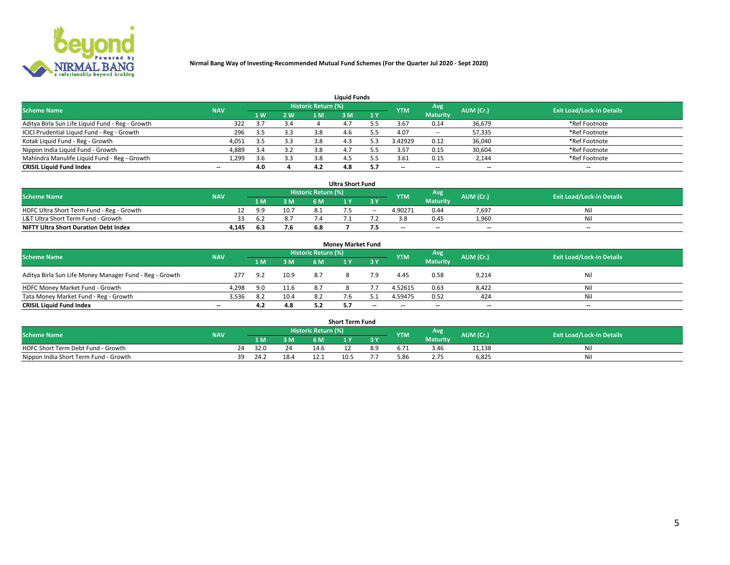

|                                                  |            |     |     |                            | <b>Liquid Funds</b> |     |            |                 |                          |                                  |
|--------------------------------------------------|------------|-----|-----|----------------------------|---------------------|-----|------------|-----------------|--------------------------|----------------------------------|
| <b>Scheme Name</b>                               | <b>NAV</b> |     |     | <b>Historic Return (%)</b> |                     |     | <b>YTM</b> | Avg             | AUM (Cr.)                | <b>Exit Load/Lock-in Details</b> |
|                                                  |            | 1 W | 2 W | 1 M                        | : M                 | 1Y  |            | <b>Maturity</b> |                          |                                  |
| Aditya Birla Sun Life Liquid Fund - Reg - Growth | 322        |     | 3.4 |                            |                     |     | 3.67       | 0.14            | 36,679                   | *Ref Footnote                    |
| ICICI Prudential Liquid Fund - Reg - Growth      | 296        | 3.5 | 3.3 | 3.8                        | 4.O                 |     | 4.07       | $\sim$ $-$      | 57,335                   | *Ref Footnote                    |
| Kotak Liquid Fund - Reg - Growth                 | 4,051      | 3.5 | 3.3 |                            | 4.3                 |     | 3.42929    | 0.12            | 36,040                   | *Ref Footnote                    |
| Nippon India Liquid Fund - Growth                | 4,889      | 3.4 | 3.2 | 3.8                        | 4.                  |     | 3.57       | 0.15            | 30,604                   | *Ref Footnote                    |
| Mahindra Manulife Liquid Fund - Reg - Growth     | 1,299      | 3.6 | 3.3 | 3.8                        |                     |     | 3.61       | 0.15            | 2,144                    | *Ref Footnote                    |
| <b>CRISIL Liquid Fund Index</b>                  | $- -$      | 4.0 |     | 4.2                        | 4.8                 | 5.7 | $- -$      | $- -$           | $\overline{\phantom{a}}$ | $\hspace{0.05cm} \cdots$         |

|                                              |            |     |      |                            | <b>Ultra Short Fund</b> |        |            |                 |                          |                                  |
|----------------------------------------------|------------|-----|------|----------------------------|-------------------------|--------|------------|-----------------|--------------------------|----------------------------------|
| <b>Scheme Name</b>                           | <b>NAV</b> |     |      | <b>Historic Return (%)</b> |                         |        | <b>YTM</b> | Avg             | AUM (Cr.)                | <b>Exit Load/Lock-in Details</b> |
|                                              |            | 1 M | 3 M  | 6 M                        |                         |        |            | <b>Maturity</b> |                          |                                  |
| HDFC Ultra Short Term Fund - Reg - Growth    |            | 9.9 | 10.7 |                            |                         | $\sim$ | 4.90271    | 0.44            | 7.697                    | Nil                              |
| L&T Ultra Short Term Fund - Growth           |            | 6.2 |      |                            |                         |        |            | 0.45            | 1.960                    | Ni                               |
| <b>NIFTY Ultra Short Duration Debt Index</b> | 4,145      | 6.3 | 7.6  | 6.8                        |                         | כ. ו   | $-$        | $- -$           | $\overline{\phantom{a}}$ | $\overline{\phantom{a}}$         |

| <b>Money Market Fund</b>                                |            |     |      |                     |            |       |                          |                                  |                          |                          |  |  |  |  |
|---------------------------------------------------------|------------|-----|------|---------------------|------------|-------|--------------------------|----------------------------------|--------------------------|--------------------------|--|--|--|--|
| <b>Scheme Name</b>                                      | <b>NAV</b> |     |      | Historic Return (%) | <b>YTM</b> | Avg   | AUM (Cr.)                | <b>Exit Load/Lock-in Details</b> |                          |                          |  |  |  |  |
|                                                         |            | 1 M | 3 M  | 6 M                 |            | 3 Y   |                          | <b>Maturity</b>                  |                          |                          |  |  |  |  |
| Aditya Birla Sun Life Money Manager Fund - Reg - Growth | 277        | 9.2 | 10.9 | 8.7                 |            |       | 4.45                     | 0.58                             | 9,214                    | Nil                      |  |  |  |  |
| HDFC Money Market Fund - Growth                         | 4,298      | 9.0 | 11.6 | 87                  |            |       | 4.52615                  | 0.63                             | 8,422                    | Nil                      |  |  |  |  |
| Tata Money Market Fund - Reg - Growth                   | 3,536      | 8.2 | 10.4 |                     |            |       | 4.59475                  | 0.52                             | 424                      | Nil                      |  |  |  |  |
| <b>CRISIL Liquid Fund Index</b>                         | $- -$      | 4.2 | 4.8  |                     |            | $- -$ | $\overline{\phantom{a}}$ | $- -$                            | $\overline{\phantom{a}}$ | $\overline{\phantom{a}}$ |  |  |  |  |

|                                       |            |       |     |                     | <b>Short Term Fund</b> |    |      |                 |           |                                  |
|---------------------------------------|------------|-------|-----|---------------------|------------------------|----|------|-----------------|-----------|----------------------------------|
| <b>Scheme Name</b>                    | <b>NAV</b> |       |     | Historic Return (%) |                        |    | YTM  | Avg             | AUM (Cr.) | <b>Exit Load/Lock-in Details</b> |
|                                       |            | 1 M . | 3 M | 6 M                 |                        | 2V |      | <b>Maturity</b> |           |                                  |
| HDFC Short Term Debt Fund - Growth    |            | 32.0  | 24  | 14.6                |                        |    |      | 3.46            | 11,138    | M                                |
| Nippon India Short Term Fund - Growth | 39         | 24.2  |     |                     | 10.5                   |    | 5.86 |                 | 6,825     | N                                |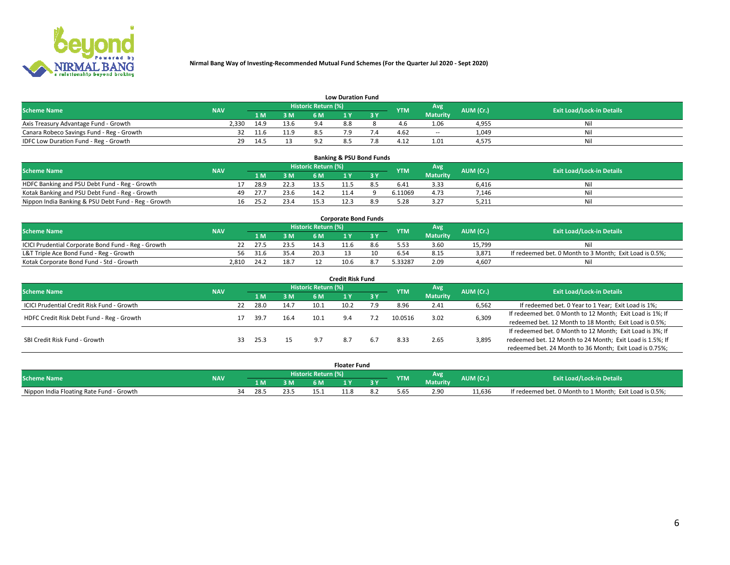

|                                           |            |      |      |                            | <b>Low Duration Fund</b> |            |                 |           |                                  |
|-------------------------------------------|------------|------|------|----------------------------|--------------------------|------------|-----------------|-----------|----------------------------------|
| <b>Scheme Name</b>                        | <b>NAV</b> |      |      | <b>Historic Return (%)</b> |                          | <b>YTM</b> | Avg             | AUM (Cr.) | <b>Exit Load/Lock-in Details</b> |
|                                           |            | 1 M. | 3 M  |                            |                          |            | <b>Maturity</b> |           |                                  |
| Axis Treasury Advantage Fund - Growth     | 2.330      | 14.9 | 13.6 | 94                         | 8.8                      |            | 1.06            | 4,955     | Nil                              |
| Canara Robeco Savings Fund - Reg - Growth |            | 11.6 | 11.9 |                            |                          | 4.62       | $- -$           | 1,049     | Nil                              |
| IDFC Low Duration Fund - Reg - Growth     | 29         | 14.5 |      |                            | .                        | 4.12       | 1.01            | 4,575     | Nil                              |

| <b>Banking &amp; PSU Bond Funds</b>                 |            |     |      |      |                     |  |  |            |                 |           |                                  |  |  |  |
|-----------------------------------------------------|------------|-----|------|------|---------------------|--|--|------------|-----------------|-----------|----------------------------------|--|--|--|
| <b>Scheme Name</b>                                  | <b>NAV</b> |     |      |      | Historic Return (%) |  |  | <b>YTM</b> | Avg             | AUM (Cr.) | <b>Exit Load/Lock-in Details</b> |  |  |  |
|                                                     |            |     | 1 M  | 3 M  | 6 M                 |  |  |            | <b>Maturity</b> |           |                                  |  |  |  |
| HDFC Banking and PSU Debt Fund - Reg - Growth       |            |     | 28.9 | 22.3 |                     |  |  | 6.41       | 3.33            | 6.416     | Ni                               |  |  |  |
| Kotak Banking and PSU Debt Fund - Reg - Growth      |            | 49. | 27.7 | 23.6 | 14.2                |  |  | 6.11069    | 4.73            | 7,146     | Ni                               |  |  |  |
| Nippon India Banking & PSU Debt Fund - Reg - Growth |            | 16  | 25.2 | 23.4 |                     |  |  |            | 3.27            | 5,211     | Ni                               |  |  |  |

| <b>Corporate Bond Funds</b>                         |            |      |      |                            |      |  |            |          |           |                                                         |  |  |  |  |
|-----------------------------------------------------|------------|------|------|----------------------------|------|--|------------|----------|-----------|---------------------------------------------------------|--|--|--|--|
| <b>Scheme Name</b>                                  | <b>NAV</b> |      |      | <b>Historic Return (%)</b> |      |  | <b>YTM</b> | Avg      | AUM (Cr.) | <b>Exit Load/Lock-in Details</b>                        |  |  |  |  |
|                                                     |            |      | 3 M  | 6 M.                       |      |  |            | Maturity |           |                                                         |  |  |  |  |
| ICICI Prudential Corporate Bond Fund - Reg - Growth |            | 27.5 | 23.5 |                            |      |  |            | 3.60     | 15.799    | Nil                                                     |  |  |  |  |
| L&T Triple Ace Bond Fund - Reg - Growth             | 56         | 31.6 | 35.4 | 20.3                       |      |  |            | 8.15     | 3,871     | If redeemed bet. 0 Month to 3 Month; Exit Load is 0.5%; |  |  |  |  |
| Kotak Corporate Bond Fund - Std - Growth            | 2.810      | 24.2 | 18.7 |                            | 10.6 |  | 5.33287    | 2.09     | 4.607     | Nil                                                     |  |  |  |  |

| <b>Credit Risk Fund</b>                    |            |    |      |      |                            |      |       |            |                 |           |                                                           |  |  |
|--------------------------------------------|------------|----|------|------|----------------------------|------|-------|------------|-----------------|-----------|-----------------------------------------------------------|--|--|
| <b>Scheme Name</b>                         | <b>NAV</b> |    |      |      | <b>Historic Return (%)</b> |      |       | <b>YTM</b> | Avg             | AUM (Cr.) | <b>Exit Load/Lock-in Details</b>                          |  |  |
|                                            |            |    | 1 M  | 3M   | 6 M                        |      | 73 Y. |            | <b>Maturity</b> |           |                                                           |  |  |
| ICICI Prudential Credit Risk Fund - Growth |            | 22 | 28.0 | 14.7 | 10.1                       | 10.2 | و.י   | 8.96       | 2.41            | 6,562     | If redeemed bet. 0 Year to 1 Year; Exit Load is 1%;       |  |  |
| HDFC Credit Risk Debt Fund - Reg - Growth  |            |    | 39.7 | 16.4 | 10.1                       | 9.4  | 7.2   | 10.0516    | 3.02            | 6,309     | If redeemed bet. 0 Month to 12 Month; Exit Load is 1%; If |  |  |
|                                            |            |    |      |      |                            |      |       |            |                 |           | redeemed bet. 12 Month to 18 Month; Exit Load is 0.5%;    |  |  |
|                                            |            |    |      |      |                            |      |       |            |                 |           | If redeemed bet. 0 Month to 12 Month; Exit Load is 3%; If |  |  |
| SBI Credit Risk Fund - Growth              |            | 33 | 25.3 | 15   |                            | 8.7  | 6.7   | 8.33       | 2.65            | 3,895     | redeemed bet. 12 Month to 24 Month; Exit Load is 1.5%; If |  |  |
|                                            |            |    |      |      |                            |      |       |            |                 |           | redeemed bet. 24 Month to 36 Month; Exit Load is 0.75%;   |  |  |

| <b>Floater Fund</b>                      |            |  |     |     |                     |  |    |      |                 |           |                                                         |  |
|------------------------------------------|------------|--|-----|-----|---------------------|--|----|------|-----------------|-----------|---------------------------------------------------------|--|
| <b>Scheme Name</b>                       | <b>NAV</b> |  |     |     | Historic Return (%) |  |    | YTM  | Avg             | AUM (Cr.) | <b>Exit Load/Lock-in Details</b>                        |  |
|                                          |            |  | l M | 3 M | 6 M                 |  | 2V |      | <b>Maturity</b> |           |                                                         |  |
| Nippon India Floating Rate Fund - Growth |            |  | 28. |     |                     |  |    | b.b. | 2.90            | 11.636    | If redeemed bet. 0 Month to 1 Month; Exit Load is 0.5%; |  |